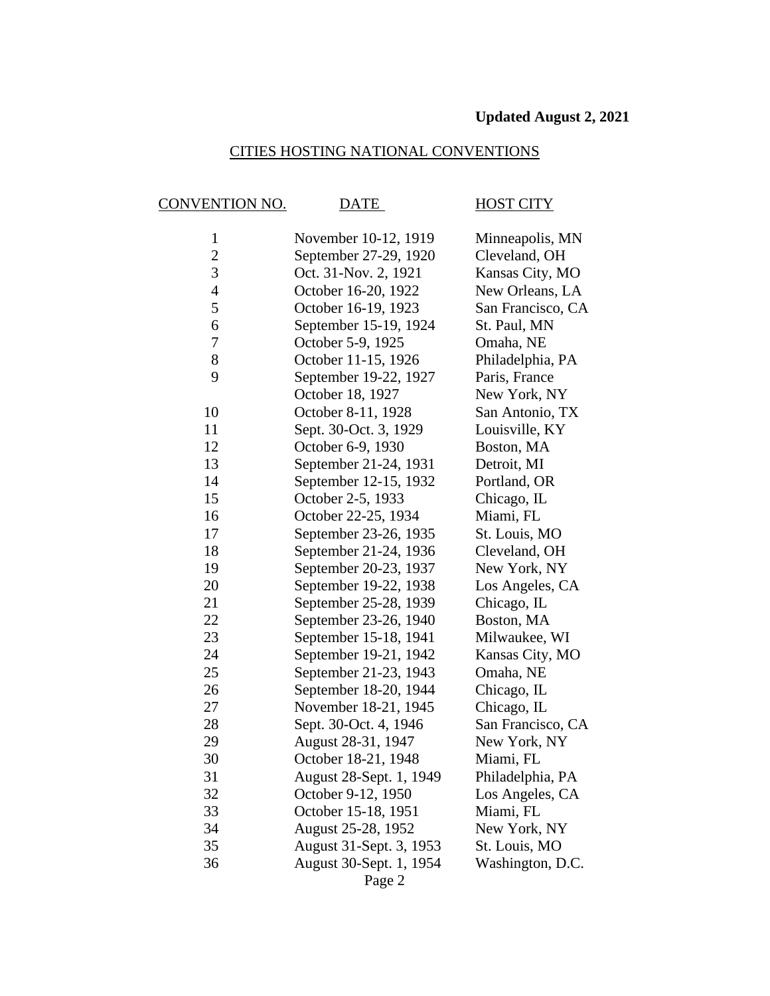### CITIES HOSTING NATIONAL CONVENTIONS

## CONVENTION NO. DATE HOST CITY

| $\mathbf{1}$   | November 10-12, 1919    | Minneapolis, MN   |
|----------------|-------------------------|-------------------|
| $\overline{c}$ | September 27-29, 1920   | Cleveland, OH     |
| 3              | Oct. 31-Nov. 2, 1921    | Kansas City, MO   |
| $\overline{4}$ | October 16-20, 1922     | New Orleans, LA   |
| 5              | October 16-19, 1923     | San Francisco, CA |
| 6              | September 15-19, 1924   | St. Paul, MN      |
| 7              | October 5-9, 1925       | Omaha, NE         |
| 8              | October 11-15, 1926     | Philadelphia, PA  |
| 9              | September 19-22, 1927   | Paris, France     |
|                | October 18, 1927        | New York, NY      |
| 10             | October 8-11, 1928      | San Antonio, TX   |
| 11             | Sept. 30-Oct. 3, 1929   | Louisville, KY    |
| 12             | October 6-9, 1930       | Boston, MA        |
| 13             | September 21-24, 1931   | Detroit, MI       |
| 14             | September 12-15, 1932   | Portland, OR      |
| 15             | October 2-5, 1933       | Chicago, IL       |
| 16             | October 22-25, 1934     | Miami, FL         |
| 17             | September 23-26, 1935   | St. Louis, MO     |
| 18             | September 21-24, 1936   | Cleveland, OH     |
| 19             | September 20-23, 1937   | New York, NY      |
| 20             | September 19-22, 1938   | Los Angeles, CA   |
| 21             | September 25-28, 1939   | Chicago, IL       |
| 22             | September 23-26, 1940   | Boston, MA        |
| 23             | September 15-18, 1941   | Milwaukee, WI     |
| 24             | September 19-21, 1942   | Kansas City, MO   |
| 25             | September 21-23, 1943   | Omaha, NE         |
| 26             | September 18-20, 1944   | Chicago, IL       |
| 27             | November 18-21, 1945    | Chicago, IL       |
| 28             | Sept. 30-Oct. 4, 1946   | San Francisco, CA |
| 29             | August 28-31, 1947      | New York, NY      |
| 30             | October 18-21, 1948     | Miami, FL         |
| 31             | August 28-Sept. 1, 1949 | Philadelphia, PA  |
| 32             | October 9-12, 1950      | Los Angeles, CA   |
| 33             | October 15-18, 1951     | Miami, FL         |
| 34             | August 25-28, 1952      | New York, NY      |
| 35             | August 31-Sept. 3, 1953 | St. Louis, MO     |
| 36             | August 30-Sept. 1, 1954 | Washington, D.C.  |
|                | Page 2                  |                   |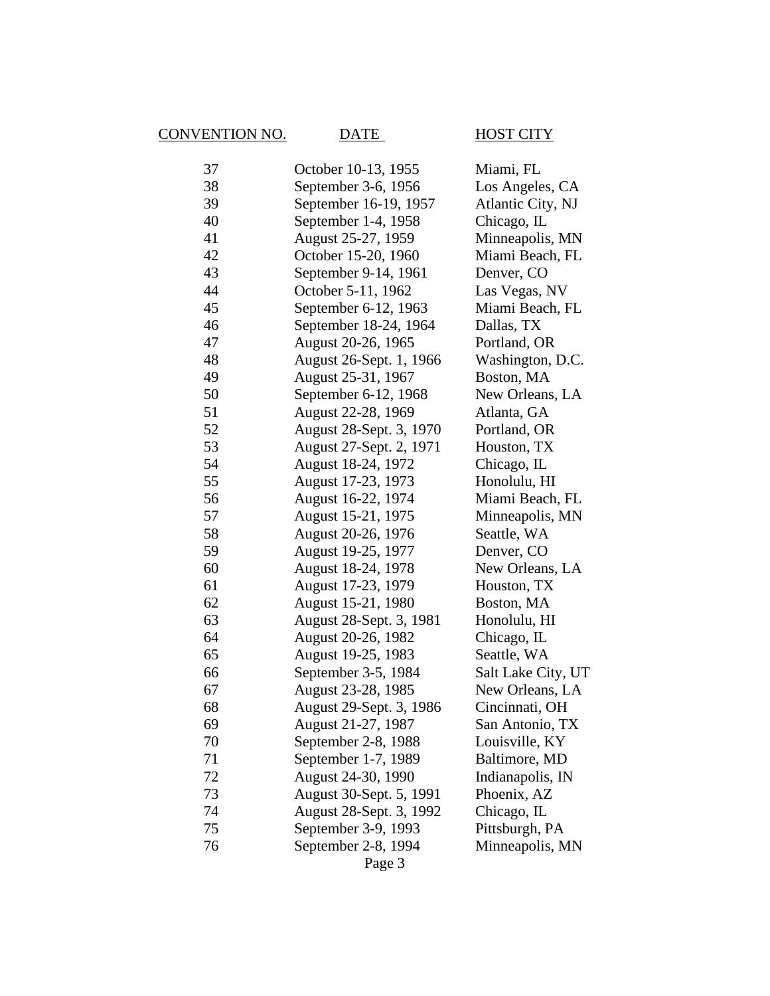# CONVENTION NO. DATE HOST CITY

| 37 | October 10-13, 1955     | Miami, FL          |
|----|-------------------------|--------------------|
| 38 | September 3-6, 1956     | Los Angeles, CA    |
| 39 | September 16-19, 1957   | Atlantic City, NJ  |
| 40 | September 1-4, 1958     | Chicago, IL        |
| 41 | August 25-27, 1959      | Minneapolis, MN    |
| 42 | October 15-20, 1960     | Miami Beach, FL    |
| 43 | September 9-14, 1961    | Denver, CO         |
| 44 | October 5-11, 1962      | Las Vegas, NV      |
| 45 | September 6-12, 1963    | Miami Beach, FL    |
| 46 | September 18-24, 1964   | Dallas, TX         |
| 47 | August 20-26, 1965      | Portland, OR       |
| 48 | August 26-Sept. 1, 1966 | Washington, D.C.   |
| 49 | August 25-31, 1967      | Boston, MA         |
| 50 | September 6-12, 1968    | New Orleans, LA    |
| 51 | August 22-28, 1969      | Atlanta, GA        |
| 52 | August 28-Sept. 3, 1970 | Portland, OR       |
| 53 | August 27-Sept. 2, 1971 | Houston, TX        |
| 54 | August 18-24, 1972      | Chicago, IL        |
| 55 | August 17-23, 1973      | Honolulu, HI       |
| 56 | August 16-22, 1974      | Miami Beach, FL    |
| 57 | August 15-21, 1975      | Minneapolis, MN    |
| 58 | August 20-26, 1976      | Seattle, WA        |
| 59 | August 19-25, 1977      | Denver, CO         |
| 60 | August 18-24, 1978      | New Orleans, LA    |
| 61 | August 17-23, 1979      | Houston, TX        |
| 62 | August 15-21, 1980      | Boston, MA         |
| 63 | August 28-Sept. 3, 1981 | Honolulu, HI       |
| 64 | August 20-26, 1982      | Chicago, IL        |
| 65 | August 19-25, 1983      | Seattle, WA        |
| 66 | September 3-5, 1984     | Salt Lake City, UT |
| 67 | August 23-28, 1985      | New Orleans, LA    |
| 68 | August 29-Sept. 3, 1986 | Cincinnati, OH     |
| 69 | August 21-27, 1987      | San Antonio, TX    |
| 70 | September 2-8, 1988     | Louisville, KY     |
| 71 | September 1-7, 1989     | Baltimore, MD      |
| 72 | August 24-30, 1990      | Indianapolis, IN   |
| 73 | August 30-Sept. 5, 1991 | Phoenix, AZ        |
| 74 | August 28-Sept. 3, 1992 | Chicago, IL        |
| 75 | September 3-9, 1993     | Pittsburgh, PA     |
| 76 | September 2-8, 1994     | Minneapolis, MN    |
|    | Page 3                  |                    |